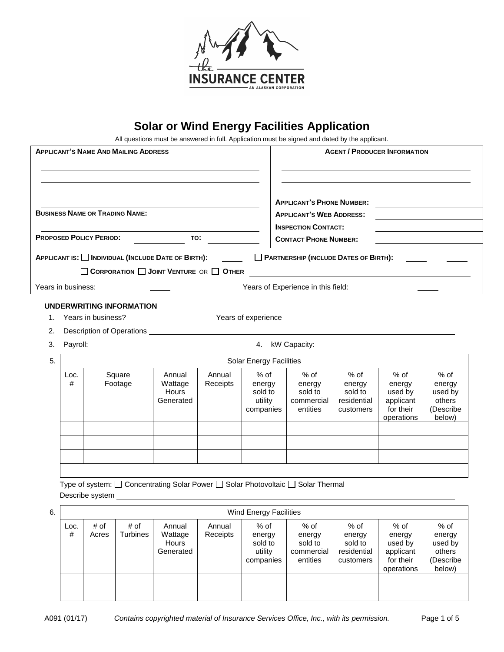

# **Solar or Wind Energy Facilities Application**

All questions must be answered in full. Application must be signed and dated by the applicant.

| <b>APPLICANT'S NAME AND MAILING ADDRESS</b>                                                                                                                                                                                                                                                                             |                        |               |                          |                                                   |                    |                                                     | <b>AGENT / PRODUCER INFORMATION</b>                                                                                  |                                                         |                                                                   |                                                              |
|-------------------------------------------------------------------------------------------------------------------------------------------------------------------------------------------------------------------------------------------------------------------------------------------------------------------------|------------------------|---------------|--------------------------|---------------------------------------------------|--------------------|-----------------------------------------------------|----------------------------------------------------------------------------------------------------------------------|---------------------------------------------------------|-------------------------------------------------------------------|--------------------------------------------------------------|
|                                                                                                                                                                                                                                                                                                                         |                        |               |                          |                                                   |                    |                                                     |                                                                                                                      |                                                         |                                                                   |                                                              |
| <b>BUSINESS NAME OR TRADING NAME:</b>                                                                                                                                                                                                                                                                                   |                        |               |                          |                                                   |                    |                                                     | <b>APPLICANT'S PHONE NUMBER:</b><br><b>APPLICANT'S WEB ADDRESS:</b><br><b>INSPECTION CONTACT:</b>                    |                                                         |                                                                   |                                                              |
|                                                                                                                                                                                                                                                                                                                         |                        |               |                          |                                                   |                    |                                                     |                                                                                                                      |                                                         |                                                                   |                                                              |
|                                                                                                                                                                                                                                                                                                                         |                        |               |                          | APPLICANT IS: INDIVIDUAL (INCLUDE DATE OF BIRTH): |                    |                                                     | PARTNERSHIP (INCLUDE DATES OF BIRTH):                                                                                |                                                         |                                                                   |                                                              |
|                                                                                                                                                                                                                                                                                                                         |                        |               |                          | CORPORATION JOINT VENTURE OR OTHER                |                    |                                                     | <u> 1989 - Johann Stein, mars an deutscher Stein und der Stein und der Stein und der Stein und der Stein und der</u> |                                                         |                                                                   |                                                              |
| Years in business:                                                                                                                                                                                                                                                                                                      |                        |               |                          |                                                   |                    | Years of Experience in this field:                  |                                                                                                                      |                                                         |                                                                   |                                                              |
|                                                                                                                                                                                                                                                                                                                         |                        |               | UNDERWRITING INFORMATION |                                                   |                    |                                                     |                                                                                                                      |                                                         |                                                                   |                                                              |
| 1.                                                                                                                                                                                                                                                                                                                      |                        |               |                          |                                                   |                    |                                                     |                                                                                                                      |                                                         |                                                                   |                                                              |
| 2.                                                                                                                                                                                                                                                                                                                      |                        |               |                          |                                                   |                    |                                                     |                                                                                                                      |                                                         |                                                                   |                                                              |
|                                                                                                                                                                                                                                                                                                                         | 3.                     |               |                          |                                                   |                    |                                                     |                                                                                                                      |                                                         |                                                                   |                                                              |
| 5.<br><b>Solar Energy Facilities</b>                                                                                                                                                                                                                                                                                    |                        |               |                          |                                                   |                    |                                                     |                                                                                                                      |                                                         |                                                                   |                                                              |
|                                                                                                                                                                                                                                                                                                                         | Loc.<br>#              |               | Square<br>Footage        | Annual<br>Wattage<br>Hours<br>Generated           | Annual<br>Receipts | $%$ of<br>energy<br>sold to<br>utility<br>companies | $%$ of<br>energy<br>sold to<br>commercial<br>entities                                                                | $%$ of<br>energy<br>sold to<br>residential<br>customers | % of<br>energy<br>used by<br>applicant<br>for their<br>operations | $%$ of<br>energy<br>used by<br>others<br>(Describe<br>below) |
|                                                                                                                                                                                                                                                                                                                         |                        |               |                          |                                                   |                    |                                                     |                                                                                                                      |                                                         |                                                                   |                                                              |
| Type of system: □ Concentrating Solar Power □ Solar Photovoltaic □ Solar Thermal<br>Describe system <u>example and the system</u> and the system of the system of the system of the system of the system of the system of the system of the system of the system of the system of the system of the system of the syste |                        |               |                          |                                                   |                    |                                                     |                                                                                                                      |                                                         |                                                                   |                                                              |
| 6.                                                                                                                                                                                                                                                                                                                      | Wind Energy Facilities |               |                          |                                                   |                    |                                                     |                                                                                                                      |                                                         |                                                                   |                                                              |
|                                                                                                                                                                                                                                                                                                                         | Loc.<br>#              | # of<br>Acres | # of<br><b>Turbines</b>  | Annual<br>Wattage<br>Hours<br>Generated           | Annual<br>Receipts | % of<br>energy<br>sold to<br>utility<br>companies   | % of<br>energy<br>sold to<br>commercial<br>entities                                                                  | % of<br>energy<br>sold to<br>residential<br>customers   | % of<br>energy<br>used by<br>applicant<br>for their<br>operations | % of<br>energy<br>used by<br>others<br>(Describe<br>below)   |
|                                                                                                                                                                                                                                                                                                                         |                        |               |                          |                                                   |                    |                                                     |                                                                                                                      |                                                         |                                                                   |                                                              |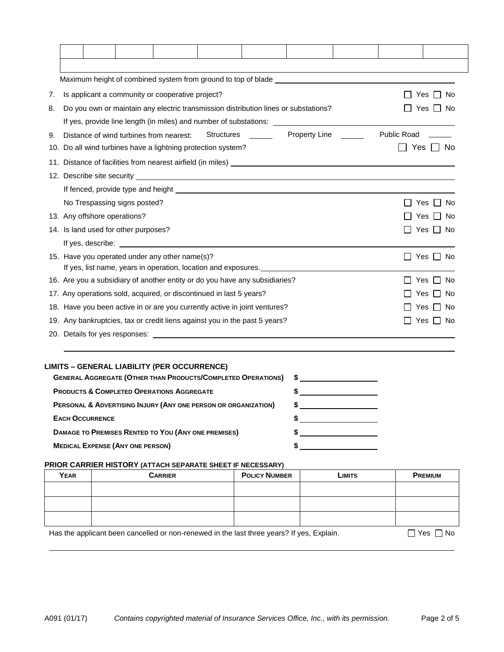| 7. |                                                                                                                                                                                                                                    | Is applicant a community or cooperative project?<br>Yes<br>No. |  |  |  |  |  |     |  |  |
|----|------------------------------------------------------------------------------------------------------------------------------------------------------------------------------------------------------------------------------------|----------------------------------------------------------------|--|--|--|--|--|-----|--|--|
| 8. | Do you own or maintain any electric transmission distribution lines or substations?<br>Yes                                                                                                                                         |                                                                |  |  |  |  |  | No. |  |  |
|    | If yes, provide line length (in miles) and number of substations: __________________________________                                                                                                                               |                                                                |  |  |  |  |  |     |  |  |
| 9. | <b>Property Line</b><br><b>Public Road</b><br>Structures ______<br>Distance of wind turbines from nearest:                                                                                                                         |                                                                |  |  |  |  |  |     |  |  |
|    | Yes<br>10. Do all wind turbines have a lightning protection system?<br>Nο                                                                                                                                                          |                                                                |  |  |  |  |  |     |  |  |
|    |                                                                                                                                                                                                                                    |                                                                |  |  |  |  |  |     |  |  |
|    |                                                                                                                                                                                                                                    |                                                                |  |  |  |  |  |     |  |  |
|    |                                                                                                                                                                                                                                    |                                                                |  |  |  |  |  |     |  |  |
|    | No Trespassing signs posted?<br>No<br>Yes                                                                                                                                                                                          |                                                                |  |  |  |  |  |     |  |  |
|    | 13. Any offshore operations?<br>l No<br>Yes                                                                                                                                                                                        |                                                                |  |  |  |  |  |     |  |  |
|    | 14. Is land used for other purposes?<br>Yes ∐ No                                                                                                                                                                                   |                                                                |  |  |  |  |  |     |  |  |
|    | If yes, describe: <u>containing</u> the set of the set of the set of the set of the set of the set of the set of the set of the set of the set of the set of the set of the set of the set of the set of the set of the set of the |                                                                |  |  |  |  |  |     |  |  |
|    | 15. Have you operated under any other name(s)?<br>Yes II<br>No                                                                                                                                                                     |                                                                |  |  |  |  |  |     |  |  |
|    | If yes, list name, years in operation, location and exposures.                                                                                                                                                                     |                                                                |  |  |  |  |  |     |  |  |
|    | 16. Are you a subsidiary of another entity or do you have any subsidiaries?<br>No<br>Yes                                                                                                                                           |                                                                |  |  |  |  |  |     |  |  |
|    | 17. Any operations sold, acquired, or discontinued in last 5 years?<br>No<br>Yes                                                                                                                                                   |                                                                |  |  |  |  |  |     |  |  |
|    | 18. Have you been active in or are you currently active in joint ventures?<br><b>No</b><br>Yes                                                                                                                                     |                                                                |  |  |  |  |  |     |  |  |
|    | 19. Any bankruptcies, tax or credit liens against you in the past 5 years?<br>Yes<br>No                                                                                                                                            |                                                                |  |  |  |  |  |     |  |  |
|    |                                                                                                                                                                                                                                    |                                                                |  |  |  |  |  |     |  |  |
|    |                                                                                                                                                                                                                                    |                                                                |  |  |  |  |  |     |  |  |

## **LIMITS – GENERAL LIABILITY (PER OCCURRENCE)**

| <b>GENERAL AGGREGATE (OTHER THAN PRODUCTS/COMPLETED OPERATIONS) \$</b> |  |
|------------------------------------------------------------------------|--|
| <b>PRODUCTS &amp; COMPLETED OPERATIONS AGGREGATE</b>                   |  |
| PERSONAL & ADVERTISING INJURY (ANY ONE PERSON OR ORGANIZATION)         |  |
| <b>EACH OCCURRENCE</b>                                                 |  |
| DAMAGE TO PREMISES RENTED TO YOU (ANY ONE PREMISES)                    |  |
| <b>MEDICAL EXPENSE (ANY ONE PERSON)</b>                                |  |

## **PRIOR CARRIER HISTORY (ATTACH SEPARATE SHEET IF NECESSARY)**

| <b>YEAR</b> | <b>CARRIER</b> | <b>POLICY NUMBER</b> | <b>LIMITS</b> | <b>PREMIUM</b> |
|-------------|----------------|----------------------|---------------|----------------|
|             |                |                      |               |                |
|             |                |                      |               |                |
|             |                |                      |               |                |

Has the applicant been cancelled or non-renewed in the last three years? If yes, Explain.  $\Box$  Yes  $\Box$  No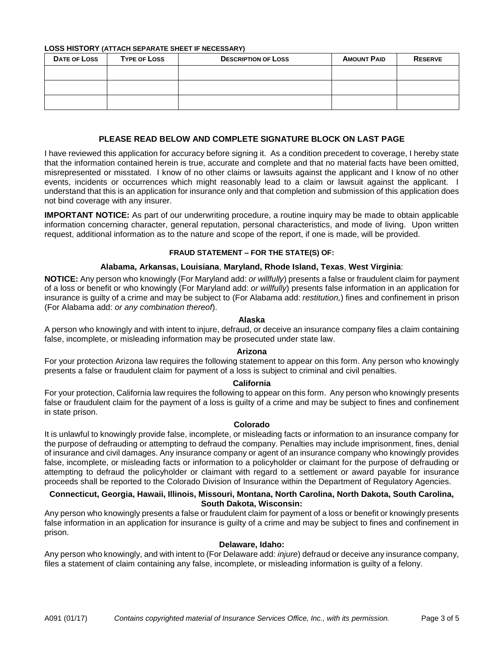**LOSS HISTORY (ATTACH SEPARATE SHEET IF NECESSARY)**

| <b>DATE OF LOSS</b> | <b>TYPE OF LOSS</b> | <b>DESCRIPTION OF LOSS</b> | <b>AMOUNT PAID</b> | <b>RESERVE</b> |
|---------------------|---------------------|----------------------------|--------------------|----------------|
|                     |                     |                            |                    |                |
|                     |                     |                            |                    |                |
|                     |                     |                            |                    |                |

## **PLEASE READ BELOW AND COMPLETE SIGNATURE BLOCK ON LAST PAGE**

I have reviewed this application for accuracy before signing it. As a condition precedent to coverage, I hereby state that the information contained herein is true, accurate and complete and that no material facts have been omitted, misrepresented or misstated. I know of no other claims or lawsuits against the applicant and I know of no other events, incidents or occurrences which might reasonably lead to a claim or lawsuit against the applicant. I understand that this is an application for insurance only and that completion and submission of this application does not bind coverage with any insurer.

**IMPORTANT NOTICE:** As part of our underwriting procedure, a routine inquiry may be made to obtain applicable information concerning character, general reputation, personal characteristics, and mode of living. Upon written request, additional information as to the nature and scope of the report, if one is made, will be provided.

## **FRAUD STATEMENT – FOR THE STATE(S) OF:**

## **Alabama, Arkansas, Louisiana**, **Maryland, Rhode Island, Texas**, **West Virginia**:

**NOTICE:** Any person who knowingly (For Maryland add: *or willfully*) presents a false or fraudulent claim for payment of a loss or benefit or who knowingly (For Maryland add: *or willfully*) presents false information in an application for insurance is guilty of a crime and may be subject to (For Alabama add: *restitution,*) fines and confinement in prison (For Alabama add: *or any combination thereof*).

## **Alaska**

A person who knowingly and with intent to injure, defraud, or deceive an insurance company files a claim containing false, incomplete, or misleading information may be prosecuted under state law.

#### **Arizona**

For your protection Arizona law requires the following statement to appear on this form. Any person who knowingly presents a false or fraudulent claim for payment of a loss is subject to criminal and civil penalties.

## **California**

For your protection, California law requires the following to appear on this form. Any person who knowingly presents false or fraudulent claim for the payment of a loss is guilty of a crime and may be subject to fines and confinement in state prison.

## **Colorado**

It is unlawful to knowingly provide false, incomplete, or misleading facts or information to an insurance company for the purpose of defrauding or attempting to defraud the company. Penalties may include imprisonment, fines, denial of insurance and civil damages. Any insurance company or agent of an insurance company who knowingly provides false, incomplete, or misleading facts or information to a policyholder or claimant for the purpose of defrauding or attempting to defraud the policyholder or claimant with regard to a settlement or award payable for insurance proceeds shall be reported to the Colorado Division of Insurance within the Department of Regulatory Agencies.

## **Connecticut, Georgia, Hawaii, Illinois, Missouri, Montana, North Carolina, North Dakota, South Carolina, South Dakota, Wisconsin:**

Any person who knowingly presents a false or fraudulent claim for payment of a loss or benefit or knowingly presents false information in an application for insurance is guilty of a crime and may be subject to fines and confinement in prison.

#### **Delaware, Idaho:**

Any person who knowingly, and with intent to (For Delaware add: *injure*) defraud or deceive any insurance company, files a statement of claim containing any false, incomplete, or misleading information is guilty of a felony.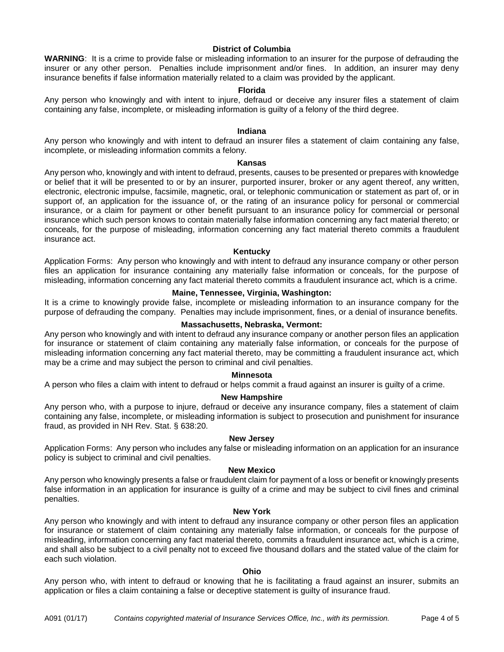## **District of Columbia**

**WARNING**: It is a crime to provide false or misleading information to an insurer for the purpose of defrauding the insurer or any other person. Penalties include imprisonment and/or fines. In addition, an insurer may deny insurance benefits if false information materially related to a claim was provided by the applicant.

## **Florida**

Any person who knowingly and with intent to injure, defraud or deceive any insurer files a statement of claim containing any false, incomplete, or misleading information is guilty of a felony of the third degree.

## **Indiana**

Any person who knowingly and with intent to defraud an insurer files a statement of claim containing any false, incomplete, or misleading information commits a felony.

#### **Kansas**

Any person who, knowingly and with intent to defraud, presents, causes to be presented or prepares with knowledge or belief that it will be presented to or by an insurer, purported insurer, broker or any agent thereof, any written, electronic, electronic impulse, facsimile, magnetic, oral, or telephonic communication or statement as part of, or in support of, an application for the issuance of, or the rating of an insurance policy for personal or commercial insurance, or a claim for payment or other benefit pursuant to an insurance policy for commercial or personal insurance which such person knows to contain materially false information concerning any fact material thereto; or conceals, for the purpose of misleading, information concerning any fact material thereto commits a fraudulent insurance act.

#### **Kentucky**

Application Forms: Any person who knowingly and with intent to defraud any insurance company or other person files an application for insurance containing any materially false information or conceals, for the purpose of misleading, information concerning any fact material thereto commits a fraudulent insurance act, which is a crime.

#### **Maine, Tennessee, Virginia, Washington:**

It is a crime to knowingly provide false, incomplete or misleading information to an insurance company for the purpose of defrauding the company. Penalties may include imprisonment, fines, or a denial of insurance benefits.

#### **Massachusetts, Nebraska, Vermont:**

Any person who knowingly and with intent to defraud any insurance company or another person files an application for insurance or statement of claim containing any materially false information, or conceals for the purpose of misleading information concerning any fact material thereto, may be committing a fraudulent insurance act, which may be a crime and may subject the person to criminal and civil penalties.

#### **Minnesota**

A person who files a claim with intent to defraud or helps commit a fraud against an insurer is guilty of a crime.

#### **New Hampshire**

Any person who, with a purpose to injure, defraud or deceive any insurance company, files a statement of claim containing any false, incomplete, or misleading information is subject to prosecution and punishment for insurance fraud, as provided in NH Rev. Stat. § 638:20.

## **New Jersey**

Application Forms: Any person who includes any false or misleading information on an application for an insurance policy is subject to criminal and civil penalties.

#### **New Mexico**

Any person who knowingly presents a false or fraudulent claim for payment of a loss or benefit or knowingly presents false information in an application for insurance is guilty of a crime and may be subject to civil fines and criminal penalties.

## **New York**

Any person who knowingly and with intent to defraud any insurance company or other person files an application for insurance or statement of claim containing any materially false information, or conceals for the purpose of misleading, information concerning any fact material thereto, commits a fraudulent insurance act, which is a crime, and shall also be subject to a civil penalty not to exceed five thousand dollars and the stated value of the claim for each such violation.

#### **Ohio**

Any person who, with intent to defraud or knowing that he is facilitating a fraud against an insurer, submits an application or files a claim containing a false or deceptive statement is guilty of insurance fraud.